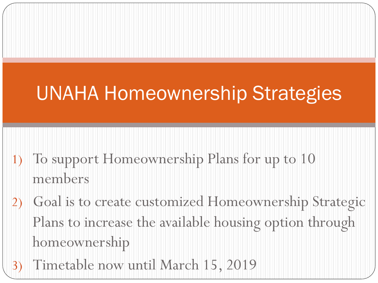# UNAHA Homeownership Strategies

- 1) To support Homeownership Plans for up to 10 members
- 2) Goal is to create customized Homeownership Strategic Plans to increase the available housing option through homeownership
- 3) Timetable now until March 15, 2019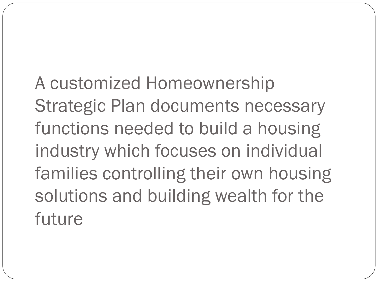A customized Homeownership Strategic Plan documents necessary functions needed to build a housing industry which focuses on individual families controlling their own housing solutions and building wealth for the future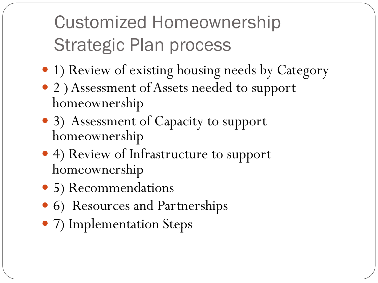# Customized Homeownership Strategic Plan process

- 1) Review of existing housing needs by Category
- 2 ) Assessment of Assets needed to support homeownership
- 3) Assessment of Capacity to support homeownership
- 4) Review of Infrastructure to support homeownership
- 5) Recommendations
- 6) Resources and Partnerships
- 7) Implementation Steps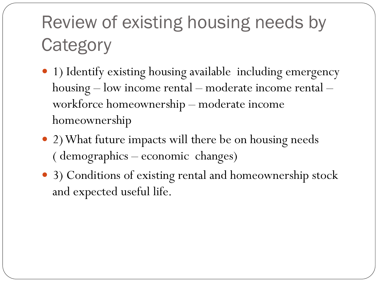# Review of existing housing needs by **Category**

- 1) Identify existing housing available including emergency housing – low income rental – moderate income rental – workforce homeownership – moderate income homeownership
- 2) What future impacts will there be on housing needs ( demographics – economic changes)
- 3) Conditions of existing rental and homeownership stock and expected useful life.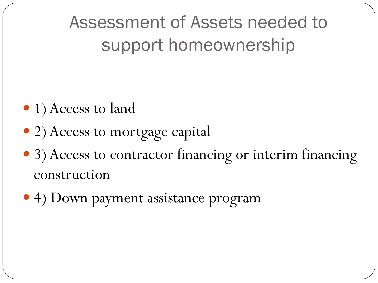Assessment of Assets needed to support homeownership

- 1) Access to land
- 2) Access to mortgage capital
- 3) Access to contractor financing or interim financing construction
- 4) Down payment assistance program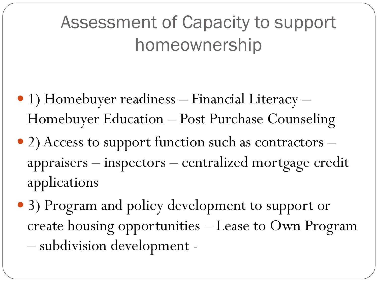## Assessment of Capacity to support homeownership

- 1) Homebuyer readiness Financial Literacy Homebuyer Education – Post Purchase Counseling
- 2) Access to support function such as contractors appraisers – inspectors – centralized mortgage credit applications
- 3) Program and policy development to support or create housing opportunities – Lease to Own Program – subdivision development -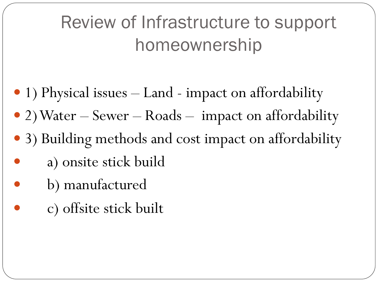## Review of Infrastructure to support homeownership

- 1) Physical issues Land impact on affordability
- 2) Water Sewer Roads impact on affordability
- 3) Building methods and cost impact on affordability
- a) onsite stick build
- b) manufactured
- c) offsite stick built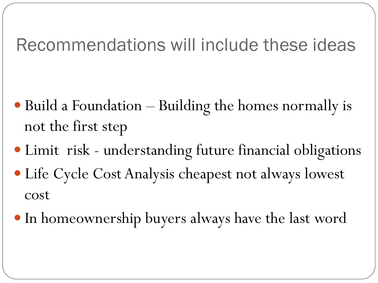#### Recommendations will include these ideas

- Build a Foundation Building the homes normally is not the first step
- Limit risk understanding future financial obligations
- Life Cycle Cost Analysis cheapest not always lowest cost
- In homeownership buyers always have the last word